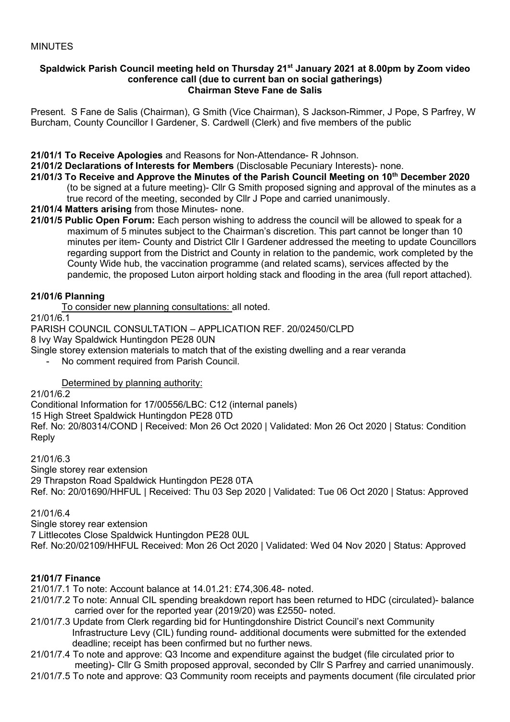#### **Spaldwick Parish Council meeting held on Thursday 21st January 2021 at 8.00pm by Zoom video conference call (due to current ban on social gatherings) Chairman Steve Fane de Salis**

Present. S Fane de Salis (Chairman), G Smith (Vice Chairman), S Jackson-Rimmer, J Pope, S Parfrey, W Burcham, County Councillor I Gardener, S. Cardwell (Clerk) and five members of the public

**21/01/1 To Receive Apologies** and Reasons for Non-Attendance- R Johnson.

**21/01/2 Declarations of Interests for Members** (Disclosable Pecuniary Interests)- none.

- **21/01/3 To Receive and Approve the Minutes of the Parish Council Meeting on 10th December 2020** (to be signed at a future meeting)- Cllr G Smith proposed signing and approval of the minutes as a true record of the meeting, seconded by Cllr J Pope and carried unanimously.
- **21/01/4 Matters arising** from those Minutes- none.
- **21/01/5 Public Open Forum:** Each person wishing to address the council will be allowed to speak for a maximum of 5 minutes subject to the Chairman's discretion. This part cannot be longer than 10 minutes per item- County and District Cllr I Gardener addressed the meeting to update Councillors regarding support from the District and County in relation to the pandemic, work completed by the County Wide hub, the vaccination programme (and related scams), services affected by the pandemic, the proposed Luton airport holding stack and flooding in the area (full report attached).

### **21/01/6 Planning**

To consider new planning consultations: all noted.

21/01/6.1

PARISH COUNCIL CONSULTATION – APPLICATION REF. 20/02450/CLPD

8 Ivy Way Spaldwick Huntingdon PE28 0UN

Single storey extension materials to match that of the existing dwelling and a rear veranda

No comment required from Parish Council.

# Determined by planning authority:

### 21/01/6.2

[Conditional Information for 17/00556/LBC: C12 \(internal panels\)](https://publicaccess.huntingdonshire.gov.uk/online-applications/applicationDetails.do?keyVal=QK8ZGJIK0EC00&activeTab=summary)

15 High Street Spaldwick Huntingdon PE28 0TD

Ref. No: 20/80314/COND | Received: Mon 26 Oct 2020 | Validated: Mon 26 Oct 2020 | Status: Condition Reply

### 21/01/6.3

Single [storey rear extension](https://publicaccess.huntingdonshire.gov.uk/online-applications/applicationDetails.do?keyVal=QG2UW4IKFGY00&activeTab=summary)

29 Thrapston Road Spaldwick Huntingdon PE28 0TA

Ref. No: 20/01690/HHFUL | Received: Thu 03 Sep 2020 | Validated: Tue 06 Oct 2020 | Status: Approved

### 21/01/6.4

Single storey rear extension

7 Littlecotes Close Spaldwick Huntingdon PE28 0UL

Ref. No:20/02109/HHFUL Received: Mon 26 Oct 2020 | Validated: Wed 04 Nov 2020 | Status: Approved

# **21/01/7 Finance**

21/01/7.1 To note: Account balance at 14.01.21: £74,306.48- noted.

- 21/01/7.2 To note: Annual CIL spending breakdown report has been returned to HDC (circulated)- balance carried over for the reported year (2019/20) was £2550- noted.
- 21/01/7.3 Update from Clerk regarding bid for Huntingdonshire District Council's next Community Infrastructure Levy (CIL) funding round- additional documents were submitted for the extended deadline; receipt has been confirmed but no further news.
- 21/01/7.4 To note and approve: Q3 Income and expenditure against the budget (file circulated prior to meeting)- Cllr G Smith proposed approval, seconded by Cllr S Parfrey and carried unanimously.
- 21/01/7.5 To note and approve: Q3 Community room receipts and payments document (file circulated prior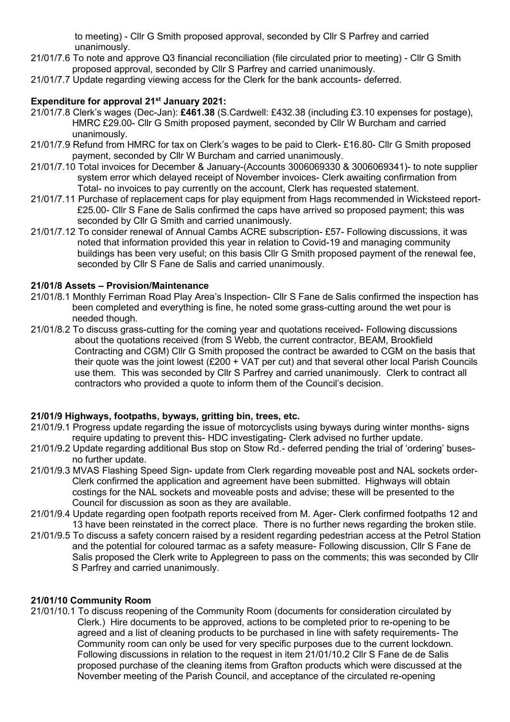to meeting) - Cllr G Smith proposed approval, seconded by Cllr S Parfrey and carried unanimously.

- 21/01/7.6 To note and approve Q3 financial reconciliation (file circulated prior to meeting) Cllr G Smith proposed approval, seconded by Cllr S Parfrey and carried unanimously.
- 21/01/7.7 Update regarding viewing access for the Clerk for the bank accounts- deferred.

### **Expenditure for approval 21st January 2021:**

- 21/01/7.8 Clerk's wages (Dec-Jan): **£461.38** (S.Cardwell: £432.38 (including £3.10 expenses for postage), HMRC £29.00- Cllr G Smith proposed payment, seconded by Cllr W Burcham and carried unanimously.
- 21/01/7.9 Refund from HMRC for tax on Clerk's wages to be paid to Clerk- £16.80- Cllr G Smith proposed payment, seconded by Cllr W Burcham and carried unanimously.
- 21/01/7.10 Total invoices for December & January-(Accounts 3006069330 & 3006069341)- to note supplier system error which delayed receipt of November invoices- Clerk awaiting confirmation from Total- no invoices to pay currently on the account, Clerk has requested statement.
- 21/01/7.11 Purchase of replacement caps for play equipment from Hags recommended in Wicksteed report- £25.00- Cllr S Fane de Salis confirmed the caps have arrived so proposed payment; this was seconded by Cllr G Smith and carried unanimously.
- 21/01/7.12 To consider renewal of Annual Cambs ACRE subscription- £57- Following discussions, it was noted that information provided this year in relation to Covid-19 and managing community buildings has been very useful; on this basis Cllr G Smith proposed payment of the renewal fee, seconded by Cllr S Fane de Salis and carried unanimously.

### **21/01/8 Assets – Provision/Maintenance**

- 21/01/8.1 Monthly Ferriman Road Play Area's Inspection- Cllr S Fane de Salis confirmed the inspection has been completed and everything is fine, he noted some grass-cutting around the wet pour is needed though.
- 21/01/8.2 To discuss grass-cutting for the coming year and quotations received- Following discussions about the quotations received (from S Webb, the current contractor, BEAM, Brookfield Contracting and CGM) Cllr G Smith proposed the contract be awarded to CGM on the basis that their quote was the joint lowest (£200 + VAT per cut) and that several other local Parish Councils use them. This was seconded by Cllr S Parfrey and carried unanimously. Clerk to contract all contractors who provided a quote to inform them of the Council's decision.

### **21/01/9 Highways, footpaths, byways, gritting bin, trees, etc.**

- 21/01/9.1 Progress update regarding the issue of motorcyclists using byways during winter months- signs require updating to prevent this- HDC investigating- Clerk advised no further update.
- 21/01/9.2 Update regarding additional Bus stop on Stow Rd.- deferred pending the trial of 'ordering' buses no further update.
- 21/01/9.3 MVAS Flashing Speed Sign- update from Clerk regarding moveable post and NAL sockets order- Clerk confirmed the application and agreement have been submitted. Highways will obtain costings for the NAL sockets and moveable posts and advise; these will be presented to the Council for discussion as soon as they are available.
- 21/01/9.4 Update regarding open footpath reports received from M. Ager- Clerk confirmed footpaths 12 and 13 have been reinstated in the correct place. There is no further news regarding the broken stile.
- 21/01/9.5 To discuss a safety concern raised by a resident regarding pedestrian access at the Petrol Station and the potential for coloured tarmac as a safety measure- Following discussion, Cllr S Fane de Salis proposed the Clerk write to Applegreen to pass on the comments; this was seconded by Cllr S Parfrey and carried unanimously.

### **21/01/10 Community Room**

21/01/10.1 To discuss reopening of the Community Room (documents for consideration circulated by Clerk.) Hire documents to be approved, actions to be completed prior to re-opening to be agreed and a list of cleaning products to be purchased in line with safety requirements- The Community room can only be used for very specific purposes due to the current lockdown. Following discussions in relation to the request in item 21/01/10.2 Cllr S Fane de de Salis proposed purchase of the cleaning items from Grafton products which were discussed at the November meeting of the Parish Council, and acceptance of the circulated re-opening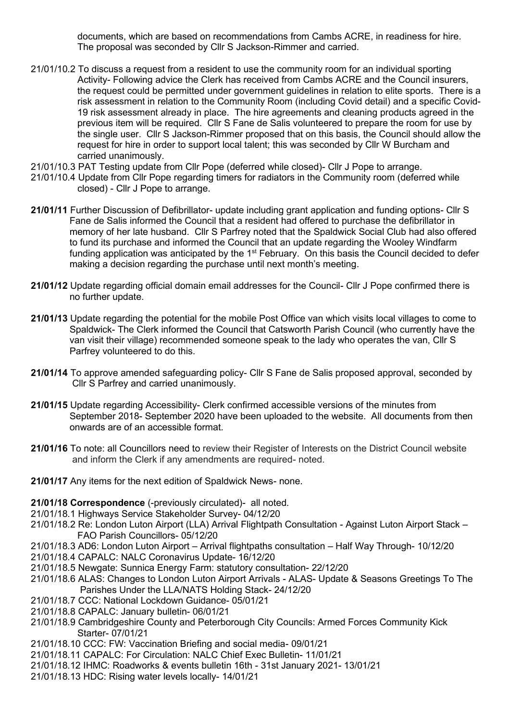documents, which are based on recommendations from Cambs ACRE, in readiness for hire. The proposal was seconded by Cllr S Jackson-Rimmer and carried.

- 21/01/10.2 To discuss a request from a resident to use the community room for an individual sporting Activity- Following advice the Clerk has received from Cambs ACRE and the Council insurers, the request could be permitted under government guidelines in relation to elite sports. There is a risk assessment in relation to the Community Room (including Covid detail) and a specific Covid- 19 risk assessment already in place. The hire agreements and cleaning products agreed in the previous item will be required. Cllr S Fane de Salis volunteered to prepare the room for use by the single user. Cllr S Jackson-Rimmer proposed that on this basis, the Council should allow the request for hire in order to support local talent; this was seconded by Cllr W Burcham and carried unanimously.
- 21/01/10.3 PAT Testing update from Cllr Pope (deferred while closed)- Cllr J Pope to arrange.
- 21/01/10.4 Update from Cllr Pope regarding timers for radiators in the Community room (deferred while closed) - Cllr J Pope to arrange.
- **21/01/11** Further Discussion of Defibrillator- update including grant application and funding options- Cllr S Fane de Salis informed the Council that a resident had offered to purchase the defibrillator in memory of her late husband. Cllr S Parfrey noted that the Spaldwick Social Club had also offered to fund its purchase and informed the Council that an update regarding the Wooley Windfarm funding application was anticipated by the  $1<sup>st</sup>$  February. On this basis the Council decided to defer making a decision regarding the purchase until next month's meeting.
- **21/01/12** Update regarding official domain email addresses for the Council- Cllr J Pope confirmed there is no further update.
- **21/01/13** Update regarding the potential for the mobile Post Office van which visits local villages to come to Spaldwick- The Clerk informed the Council that Catsworth Parish Council (who currently have the van visit their village) recommended someone speak to the lady who operates the van, Cllr S Parfrey volunteered to do this.
- **21/01/14** To approve amended safeguarding policy- Cllr S Fane de Salis proposed approval, seconded by Cllr S Parfrey and carried unanimously.
- **21/01/15** Update regarding Accessibility- Clerk confirmed accessible versions of the minutes from September 2018- September 2020 have been uploaded to the website. All documents from then onwards are of an accessible format.
- **21/01/16** To note: all Councillors need to review their Register of Interests on the District Council website and inform the Clerk if any amendments are required- noted.
- **21/01/17** Any items for the next edition of Spaldwick News- none.
- **21/01/18 Correspondence** (-previously circulated)- all noted.
- 21/01/18.1 Highways Service Stakeholder Survey- 04/12/20
- 21/01/18.2 Re: London Luton Airport (LLA) Arrival Flightpath Consultation Against Luton Airport Stack FAO Parish Councillors- 05/12/20
- 21/01/18.3 AD6: London Luton Airport Arrival flightpaths consultation Half Way Through- 10/12/20
- 21/01/18.4 CAPALC: NALC Coronavirus Update- 16/12/20
- 21/01/18.5 Newgate: Sunnica Energy Farm: statutory consultation- 22/12/20
- 21/01/18.6 ALAS: Changes to London Luton Airport Arrivals ALAS- Update & Seasons Greetings To The Parishes Under the LLA/NATS Holding Stack- 24/12/20
- 21/01/18.7 CCC: National Lockdown Guidance- 05/01/21
- 21/01/18.8 CAPALC: January bulletin- 06/01/21
- 21/01/18.9 Cambridgeshire County and Peterborough City Councils: Armed Forces Community Kick Starter- 07/01/21
- 21/01/18.10 CCC: FW: Vaccination Briefing and social media- 09/01/21
- 21/01/18.11 CAPALC: For Circulation: NALC Chief Exec Bulletin- 11/01/21
- 21/01/18.12 IHMC: Roadworks & events bulletin 16th 31st January 2021- 13/01/21
- 21/01/18.13 HDC: Rising water levels locally- 14/01/21